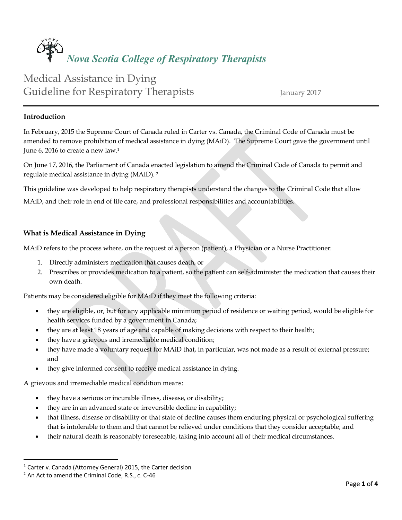# *Nova Scotia College of Respiratory Therapists*

# Medical Assistance in Dying Guideline for Respiratory Therapists January 2017

## **Introduction**

In February, 2015 the Supreme Court of Canada ruled in Carter vs. Canada, the Criminal Code of Canada must be amended to remove prohibition of medical assistance in dying (MAiD). The Supreme Court gave the government until June 6, 2016 to create a new law.<sup>1</sup>

On June 17, 2016, the Parliament of Canada enacted legislation to amend the Criminal Code of Canada to permit and regulate medical assistance in dying (MAiD). 2

This guideline was developed to help respiratory therapists understand the changes to the Criminal Code that allow

MAiD, and their role in end of life care, and professional responsibilities and accountabilities.

# **What is Medical Assistance in Dying**

MAiD refers to the process where, on the request of a person (patient), a Physician or a Nurse Practitioner:

- 1. Directly administers medication that causes death, or
- 2. Prescribes or provides medication to a patient, so the patient can self-administer the medication that causes their own death.

Patients may be considered eligible for MAiD if they meet the following criteria:

- they are eligible, or, but for any applicable minimum period of residence or waiting period, would be eligible for health services funded by a government in Canada;
- they are at least 18 years of age and capable of making decisions with respect to their health;
- they have a grievous and irremediable medical condition;
- they have made a voluntary request for MAiD that, in particular, was not made as a result of external pressure; and
- they give informed consent to receive medical assistance in dying.

A grievous and irremediable medical condition means:

- they have a serious or incurable illness, disease, or disability;
- they are in an advanced state or irreversible decline in capability;
- that illness, disease or disability or that state of decline causes them enduring physical or psychological suffering that is intolerable to them and that cannot be relieved under conditions that they consider acceptable; and
- their natural death is reasonably foreseeable, taking into account all of their medical circumstances.

 $\overline{a}$ 

<sup>1</sup> Carter v. Canada (Attorney General) 2015, the Carter decision

<sup>&</sup>lt;sup>2</sup> An Act to amend the Criminal Code, R.S., c. C-46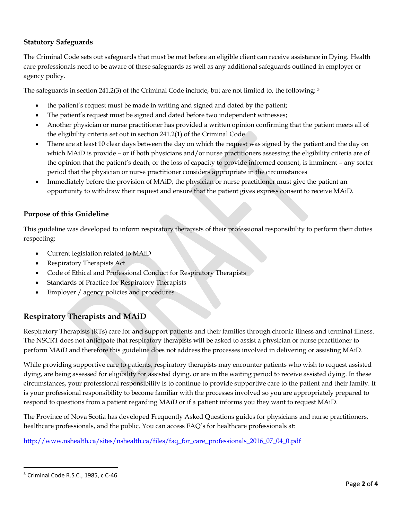# **Statutory Safeguards**

The Criminal Code sets out safeguards that must be met before an eligible client can receive assistance in Dying. Health care professionals need to be aware of these safeguards as well as any additional safeguards outlined in employer or agency policy.

The safeguards in section 241.2(3) of the Criminal Code include, but are not limited to, the following: <sup>3</sup>

- the patient's request must be made in writing and signed and dated by the patient;
- The patient's request must be signed and dated before two independent witnesses;
- Another physician or nurse practitioner has provided a written opinion confirming that the patient meets all of the eligibility criteria set out in section 241.2(1) of the Criminal Code
- There are at least 10 clear days between the day on which the request was signed by the patient and the day on which MAiD is provide – or if both physicians and/or nurse practitioners assessing the eligibility criteria are of the opinion that the patient's death, or the loss of capacity to provide informed consent, is imminent – any sorter period that the physician or nurse practitioner considers appropriate in the circumstances
- Immediately before the provision of MAiD, the physician or nurse practitioner must give the patient an opportunity to withdraw their request and ensure that the patient gives express consent to receive MAiD.

## **Purpose of this Guideline**

This guideline was developed to inform respiratory therapists of their professional responsibility to perform their duties respecting:

- Current legislation related to MAiD
- Respiratory Therapists Act
- Code of Ethical and Professional Conduct for Respiratory Therapists
- Standards of Practice for Respiratory Therapists
- Employer / agency policies and procedures

# **Respiratory Therapists and MAiD**

Respiratory Therapists (RTs) care for and support patients and their families through chronic illness and terminal illness. The NSCRT does not anticipate that respiratory therapists will be asked to assist a physician or nurse practitioner to perform MAiD and therefore this guideline does not address the processes involved in delivering or assisting MAiD.

While providing supportive care to patients, respiratory therapists may encounter patients who wish to request assisted dying, are being assessed for eligibility for assisted dying, or are in the waiting period to receive assisted dying. In these circumstances, your professional responsibility is to continue to provide supportive care to the patient and their family. It is your professional responsibility to become familiar with the processes involved so you are appropriately prepared to respond to questions from a patient regarding MAiD or if a patient informs you they want to request MAiD.

The Province of Nova Scotia has developed Frequently Asked Questions guides for physicians and nurse practitioners, healthcare professionals, and the public. You can access FAQ's for healthcare professionals at:

[http://www.nshealth.ca/sites/nshealth.ca/files/faq\\_for\\_care\\_professionals\\_2016\\_07\\_04\\_0.pdf](http://www.nshealth.ca/sites/nshealth.ca/files/faq_for_care_professionals_2016_07_04_0.pdf)

 $\overline{a}$ 

<sup>&</sup>lt;sup>3</sup> Criminal Code R.S.C., 1985, c C-46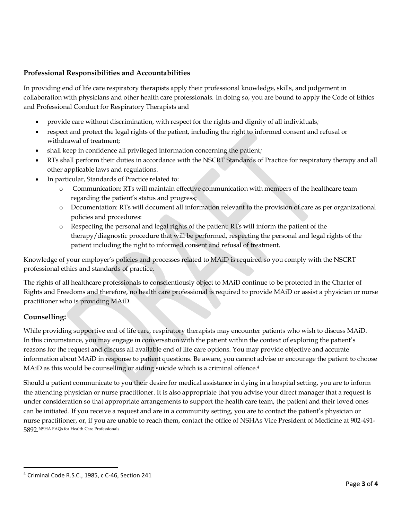# **Professional Responsibilities and Accountabilities**

In providing end of life care respiratory therapists apply their professional knowledge, skills, and judgement in collaboration with physicians and other health care professionals. In doing so, you are bound to apply the Code of Ethics and Professional Conduct for Respiratory Therapists and

- provide care without discrimination, with respect for the rights and dignity of all individuals*;*
- respect and protect the legal rights of the patient, including the right to informed consent and refusal or withdrawal of treatment;
- shall keep in confidence all privileged information concerning the patient*;*
- RTs shall perform their duties in accordance with the NSCRT Standards of Practice for respiratory therapy and all other applicable laws and regulations*.*
- In particular, Standards of Practice related to:
	- o Communication: RTs will maintain effective communication with members of the healthcare team regarding the patient's status and progress;
	- o Documentation: RTs will document all information relevant to the provision of care as per organizational policies and procedures:
	- o Respecting the personal and legal rights of the patient: RTs will inform the patient of the therapy/diagnostic procedure that will be performed, respecting the personal and legal rights of the patient including the right to informed consent and refusal of treatment.

Knowledge of your employer's policies and processes related to MAiD is required so you comply with the NSCRT professional ethics and standards of practice.

The rights of all healthcare professionals to conscientiously object to MAiD continue to be protected in the Charter of Rights and Freedoms and therefore, no health care professional is required to provide MAiD or assist a physician or nurse practitioner who is providing MAiD.

# **Counselling:**

 $\overline{a}$ 

While providing supportive end of life care, respiratory therapists may encounter patients who wish to discuss MAiD. In this circumstance, you may engage in conversation with the patient within the context of exploring the patient's reasons for the request and discuss all available end of life care options. You may provide objective and accurate information about MAiD in response to patient questions. Be aware, you cannot advise or encourage the patient to choose MAiD as this would be counselling or aiding suicide which is a criminal offence.<sup>4</sup>

Should a patient communicate to you their desire for medical assistance in dying in a hospital setting, you are to inform the attending physician or nurse practitioner. It is also appropriate that you advise your direct manager that a request is under consideration so that appropriate arrangements to support the health care team, the patient and their loved ones can be initiated. If you receive a request and are in a community setting, you are to contact the patient's physician or nurse practitioner, or, if you are unable to reach them, contact the office of NSHAs Vice President of Medicine at 902-491- 5892 NSHA FAQs for Health Care Professionals

<sup>4</sup> Criminal Code R.S.C., 1985, c C-46, Section 241